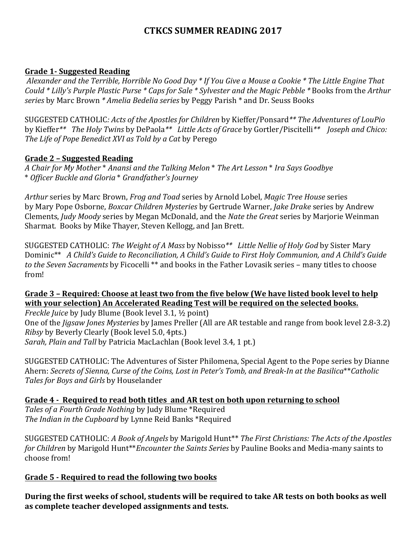# **CTKCS SUMMER READING 2017**

#### **Grade 1- Suggested Reading**

Alexander and the Terrible, Horrible No Good Day \* If You Give a Mouse a Cookie \* The Little Engine That *Could* \* Lilly's Purple Plastic Purse \* Caps for Sale \* Sylvester and the Magic Pebble \* Books from the Arthur *series* by Marc Brown \* *Amelia Bedelia series* by Peggy Parish \* and Dr. Seuss Books

SUGGESTED CATHOLIC: Acts of the Apostles for Children by Kieffer/Ponsard<sup>\*\*</sup> The Adventures of LouPio by Kieffer<sup>\*\*</sup> The Holy Twins by DePaola<sup>\*\*</sup> Little *Acts of Grace* by Gortler/Piscitelli<sup>\*\*</sup> *Joseph and Chico:* The Life of Pope Benedict XVI as Told by a Cat by Perego

#### **Grade 2 – Suggested Reading**

*A Chair for My Mother* \* *Anansi and the Talking Melon* \* *The Art Lesson* \* *Ira Says Goodbye* \* *Officer Buckle and Gloria* \* *Grandfather's Journey*

Arthur series by Marc Brown, *Frog and Toad* series by Arnold Lobel, *Magic Tree House* series by Mary Pope Osborne, *Boxcar Children Mysteries* by Gertrude Warner, *Jake Drake* series by Andrew Clements, *Judy Moody* series by Megan McDonald, and the *Nate the Great* series by Marjorie Weinman Sharmat. Books by Mike Thayer, Steven Kellogg, and Jan Brett.

SUGGESTED CATHOLIC: *The Weight of A Mass* by Nobisso<sup>\*\*</sup> Little Nellie of Holy God by Sister Mary Dominic<sup>\*\*</sup> A Child's Guide to Reconciliation, A Child's Guide to First Holy Communion, and A Child's Guide to the Seven Sacraments by Ficocelli \*\* and books in the Father Lovasik series – many titles to choose from!

### Grade 3 – Required: Choose at least two from the five below (We have listed book level to help with your selection) An Accelerated Reading Test will be required on the selected books.

*Freckle Juice* by Judy Blume (Book level 3.1, ½ point) One of the *Jigsaw Jones Mysteries* by James Preller (All are AR testable and range from book level 2.8-3.2) *Ribsy* by Beverly Clearly (Book level 5.0, 4pts.) *Sarah, Plain and Tall* by Patricia MacLachlan (Book level 3.4, 1 pt.)

SUGGESTED CATHOLIC: The Adventures of Sister Philomena, Special Agent to the Pope series by Dianne Ahern: Secrets of Sienna, Curse of the Coins, Lost in Peter's Tomb, and Break-In at the Basilica\*\*Catholic Tales for Boys and Girls by Houselander

Grade 4 - Required to read both titles and AR test on both upon returning to school Tales of a Fourth Grade Nothing by Judy Blume \*Required The Indian in the Cupboard by Lynne Reid Banks \*Required

SUGGESTED CATHOLIC: A Book of Angels by Marigold Hunt<sup>\*\*</sup> The First Christians: The Acts of the Apostles *for Children* by Marigold Hunt\*\**Encounter the Saints Series* by Pauline Books and Media-many saints to choose from!

### **Grade 5 - Required to read the following two books**

During the first weeks of school, students will be required to take AR tests on both books as well as complete teacher developed assignments and tests.